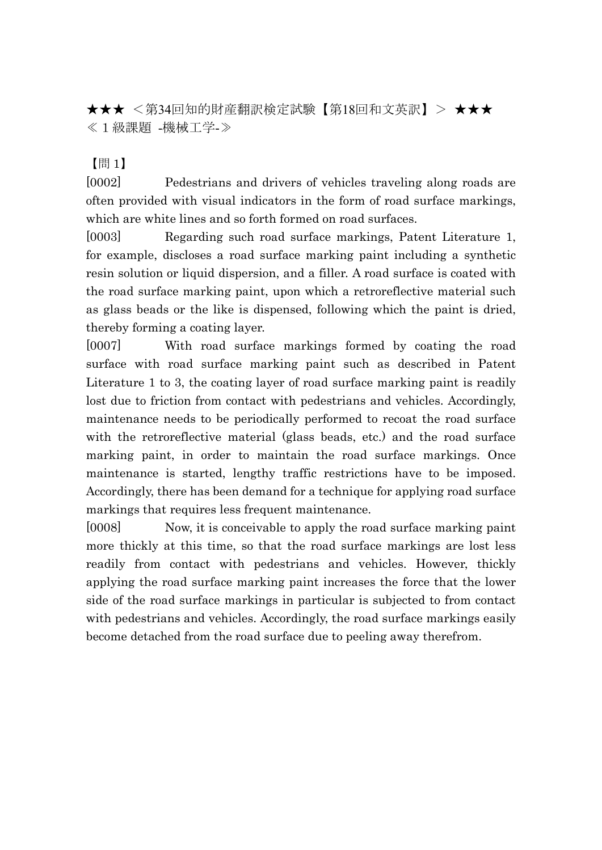★★★ <第34回知的財産翻訳検定試験【第18回和文英訳】> ★★★ ≪1級課題 -機械工学-≫

【問 1】

[0002] Pedestrians and drivers of vehicles traveling along roads are often provided with visual indicators in the form of road surface markings, which are white lines and so forth formed on road surfaces.

[0003] Regarding such road surface markings, Patent Literature 1, for example, discloses a road surface marking paint including a synthetic resin solution or liquid dispersion, and a filler. A road surface is coated with the road surface marking paint, upon which a retroreflective material such as glass beads or the like is dispensed, following which the paint is dried, thereby forming a coating layer.

[0007] With road surface markings formed by coating the road surface with road surface marking paint such as described in Patent Literature 1 to 3, the coating layer of road surface marking paint is readily lost due to friction from contact with pedestrians and vehicles. Accordingly, maintenance needs to be periodically performed to recoat the road surface with the retroreflective material (glass beads, etc.) and the road surface marking paint, in order to maintain the road surface markings. Once maintenance is started, lengthy traffic restrictions have to be imposed. Accordingly, there has been demand for a technique for applying road surface markings that requires less frequent maintenance.

[0008] Now, it is conceivable to apply the road surface marking paint more thickly at this time, so that the road surface markings are lost less readily from contact with pedestrians and vehicles. However, thickly applying the road surface marking paint increases the force that the lower side of the road surface markings in particular is subjected to from contact with pedestrians and vehicles. Accordingly, the road surface markings easily become detached from the road surface due to peeling away therefrom.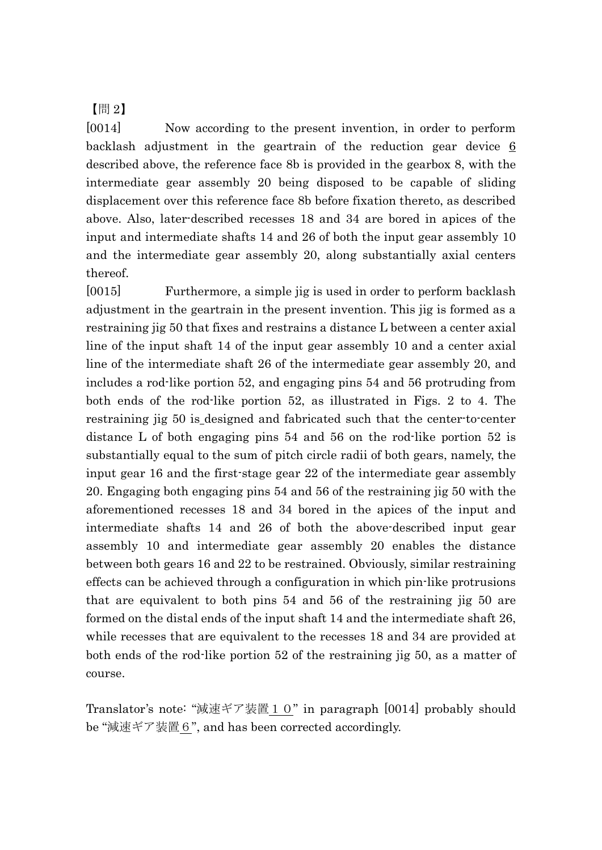【問 2】

[0014] Now according to the present invention, in order to perform backlash adjustment in the geartrain of the reduction gear device  $6$ described above, the reference face 8b is provided in the gearbox 8, with the intermediate gear assembly 20 being disposed to be capable of sliding displacement over this reference face 8b before fixation thereto, as described above. Also, later-described recesses 18 and 34 are bored in apices of the input and intermediate shafts 14 and 26 of both the input gear assembly 10 and the intermediate gear assembly 20, along substantially axial centers thereof.

[0015] Furthermore, a simple jig is used in order to perform backlash adjustment in the geartrain in the present invention. This jig is formed as a restraining jig 50 that fixes and restrains a distance L between a center axial line of the input shaft 14 of the input gear assembly 10 and a center axial line of the intermediate shaft 26 of the intermediate gear assembly 20, and includes a rod-like portion 52, and engaging pins 54 and 56 protruding from both ends of the rod-like portion 52, as illustrated in Figs. 2 to 4. The restraining jig 50 is designed and fabricated such that the center-to-center distance L of both engaging pins 54 and 56 on the rod-like portion 52 is substantially equal to the sum of pitch circle radii of both gears, namely, the input gear 16 and the first-stage gear 22 of the intermediate gear assembly 20. Engaging both engaging pins 54 and 56 of the restraining jig 50 with the aforementioned recesses 18 and 34 bored in the apices of the input and intermediate shafts 14 and 26 of both the above-described input gear assembly 10 and intermediate gear assembly 20 enables the distance between both gears 16 and 22 to be restrained. Obviously, similar restraining effects can be achieved through a configuration in which pin-like protrusions that are equivalent to both pins 54 and 56 of the restraining jig 50 are formed on the distal ends of the input shaft 14 and the intermediate shaft 26, while recesses that are equivalent to the recesses 18 and 34 are provided at both ends of the rod-like portion 52 of the restraining jig 50, as a matter of course.

Translator's note: "減速ギア装置10" in paragraph [0014] probably should be "減速ギア装置6", and has been corrected accordingly.